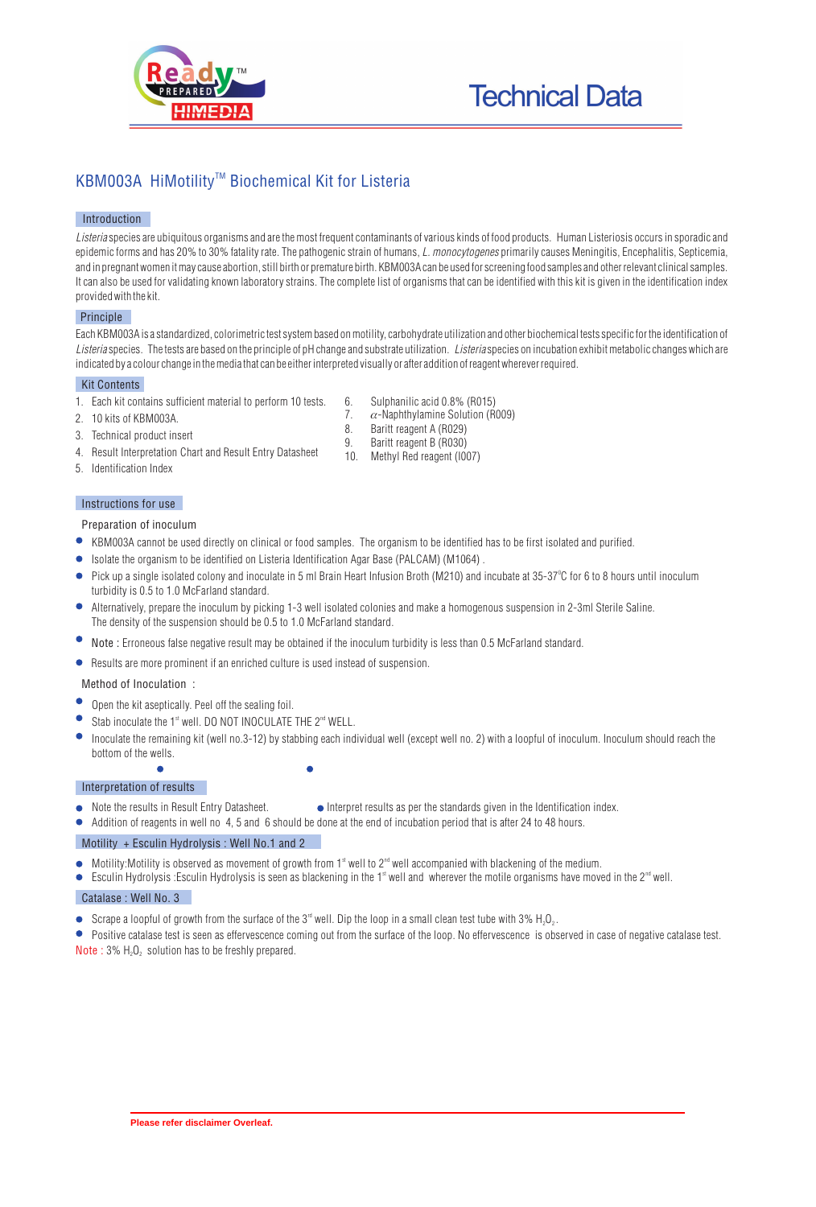

# KBM003A HiMotility<sup>™</sup> Biochemical Kit for Listeria

## **Introduction**

*Listeria* species are ubiquitous organisms and are the most frequent contaminants of various kinds of food products. Human Listeriosis occurs in sporadic and epidemic forms and has 20% to 30% fatality rate. The pathogenic strain of humans, *L. monocytogenes* primarily causes Meningitis, Encephalitis, Septicemia, and in pregnant women it may cause abortion, still birth or premature birth. KBM003A can be used for screening food samples and other relevant clinical samples. It can also be used for validating known laboratory strains. The complete list of organisms that can be identified with this kit is given in the identification index provided with the kit.

## **Principle**

Each KBM003A is a standardized, colorimetric test system based on motility, carbohydrate utilization and other biochemical tests specific for the identification of *Listeria* species. The tests are based on the principle of pH change and substrate utilization. *Listeria* species on incubation exhibit metabolic changes which are indicated by a colour change in the media that can be either interpreted visually or after addition of reagent wherever required.

## **Kit Contents**

- 1. Each kit contains sufficient material to perform 10 tests.
- 2. 10 kits of KBM003A.
- 3. Technical product insert
- 4. Result Interpretation Chart and Result Entry Datasheet
- 5. Identification Index

## **Instructions for use**

### **Preparation of inoculum**

- KBM003A cannot be used directly on clinical or food samples. The organism to be identified has to be first isolated and purified.
- Isolate the organism to be identified on Listeria Identification Agar Base (PALCAM) (M1064).
- Pick up a single isolated colony and inoculate in 5 ml Brain Heart Infusion Broth (M210) and incubate at 35-37°C for 6 to 8 hours until inoculum turbidity is 0.5 to 1.0 McFarland standard.
- $\bullet$ Alternatively, prepare the inoculum by picking 1-3 well isolated colonies and make a homogenous suspension in 2-3ml Sterile Saline. The density of the suspension should be  $0.5$  to  $1.0$  McFarland standard.
- Note : Erroneous false negative result may be obtained if the inoculum turbidity is less than 0.5 McFarland standard.
- Results are more prominent if an enriched culture is used instead of suspension.

## **Method of Inoculation :**

- Open the kit aseptically. Peel off the sealing foil.
- Stab inoculate the  $1<sup>st</sup>$  well. DO NOT INOCULATE THE  $2<sup>nd</sup>$  WELL.
- Inoculate the remaining kit (well no.3-12) by stabbing each individual well (except well no. 2) with a loopful of inoculum. Inoculum should reach the bottom of the wells.

## **Interpretation of results**

- Note the results in Result Entry Datasheet. Interpret results as per the standards given in the Identification index.
	- Addition of reagents in well no 4, 5 and 6 should be done at the end of incubation period that is after 24 to 48 hours.

## **Motility + Esculin Hydrolysis : Well No.1 and 2**

- $\bullet$  Motility:Motility is observed as movement of growth from 1<sup>st</sup> well to 2<sup>nd</sup> well accompanied with blackening of the medium.
- $\bullet$ Esculin Hydrolysis :Esculin Hydrolysis is seen as blackening in the 1<sup>st</sup> well and wherever the motile organisms have moved in the 2<sup>nd</sup> well.

## **Catalase : Well No. 3**

 $\bullet$ 

- **•** Scrape a loopful of growth from the surface of the 3<sup> $rd$ </sup> well. Dip the loop in a small clean test tube with 3% H<sub>2</sub>O<sub>2</sub>.
- **Positive catalase test is seen as effervescence coming out from the surface of the loop. No effervescence is observed in case of negative catalase test. Note** :  $3\%$  H<sub>2</sub>O<sub>2</sub> solution has to be freshly prepared.
- 6. Sulphanilic acid 0.8% (R015)<br>7.  $\alpha$ -Naphthylamine Solution (R0
- 7.  $\alpha$ -Naphthylamine Solution (R009)<br>8. Baritt reagent A (R029)
- 8. Baritt reagent A (R029)<br>9. Baritt reagent B (R030)
- 9. Baritt reagent B (R030)<br>10 Methyl Red reagent (I0
- Methyl Red reagent (I007)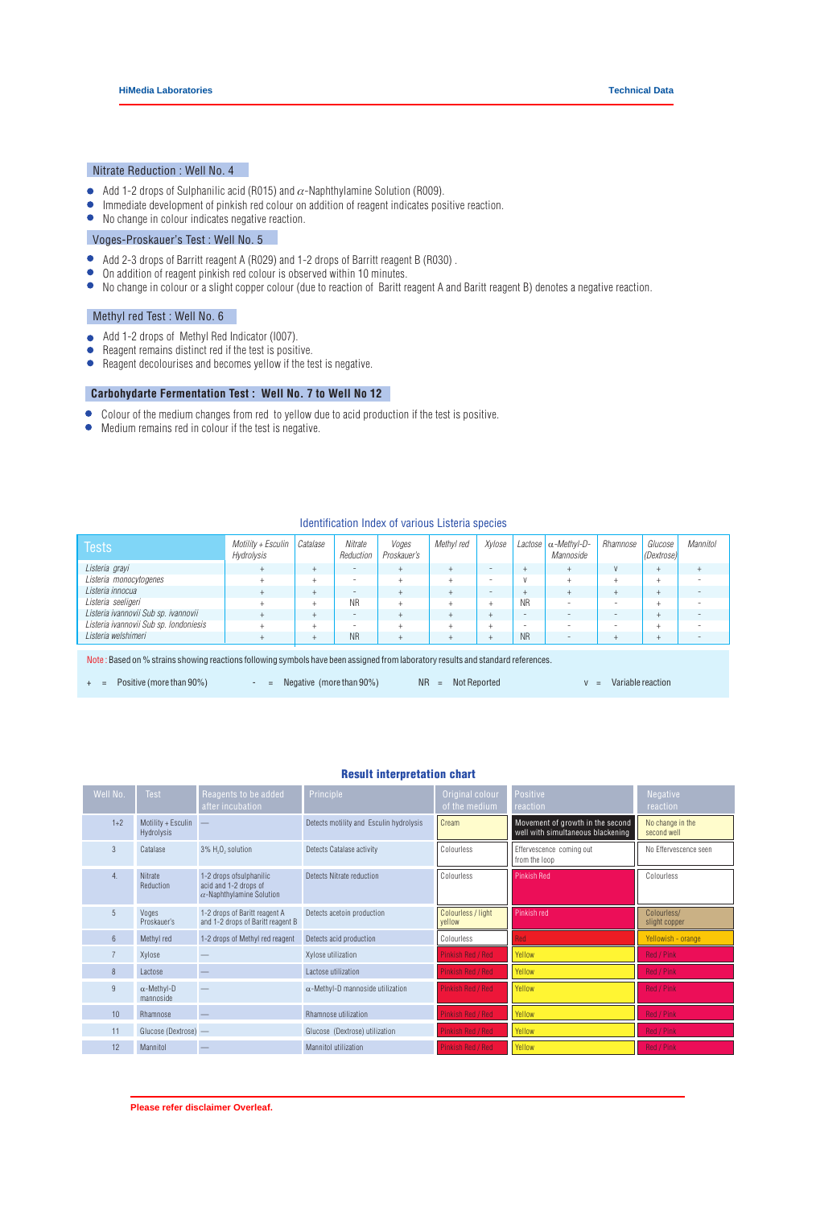## **Nitrate Reduction : Well No. 4**

- Add 1-2 drops of Sulphanilic acid (R015) and  $\alpha$ -Naphthylamine Solution (R009).
- $\bullet$ Immediate development of pinkish red colour on addition of reagent indicates positive reaction.
- $\bullet$ No change in colour indicates negative reaction.

## **Voges-Proskauer's Test : Well No. 5**

- $\bullet$ Add 2-3 drops of Barritt reagent A (R029) and 1-2 drops of Barritt reagent B (R030) .
- $\bullet$ On addition of reagent pinkish red colour is observed within 10 minutes.
- No change in colour or a slight copper colour (due to reaction of Baritt reagent A and Baritt reagent B) denotes a negative reaction.

### **Methyl red Test : Well No. 6**

- Add 1-2 drops of Methyl Red Indicator (I007).  $\bullet$
- Reagent remains distinct red if the test is positive.  $\bullet$
- Reagent decolourises and becomes yellow if the test is negative.

## **Carbohydarte Fermentation Test : Well No. 7 to Well No 12**

- Colour of the medium changes from red to yellow due to acid production if the test is positive.
- Medium remains red in colour if the test is negative.

#### **Identification Index of various** *Listeria* **species**

| Tests                                                                                                                            | $Motility + Esculin$<br>Hydrolysis | Catalase | Nitrate<br>Reduction     | Voges<br>Proskauer's | Methyl red | Xylose | Lactose   | -Methvl-D-<br>Mannoside  | Rhamnose                 | Glucose<br>(Dextrose) | Mannitol |
|----------------------------------------------------------------------------------------------------------------------------------|------------------------------------|----------|--------------------------|----------------------|------------|--------|-----------|--------------------------|--------------------------|-----------------------|----------|
| Listeria grayi                                                                                                                   |                                    |          | $\overline{\phantom{a}}$ |                      |            | ۰      | ÷         | $^{+}$                   | V                        |                       |          |
| Listeria monocytogenes                                                                                                           |                                    |          | $\overline{\phantom{0}}$ |                      |            | ۰      |           | $^{+}$                   | $^{+}$                   |                       |          |
| Listeria innocua                                                                                                                 |                                    |          | $\overline{\phantom{a}}$ |                      |            | -      | $^+$      | $+$                      | $^{+}$                   |                       |          |
| Listeria seeligeri                                                                                                               |                                    |          | <b>NR</b>                |                      |            |        | <b>NR</b> |                          | $\overline{\phantom{a}}$ |                       |          |
| Listeria ivannovii Sub sp. ivannovii                                                                                             |                                    |          | $\overline{\phantom{a}}$ |                      |            |        | ٠         | -                        | $\overline{\phantom{a}}$ |                       |          |
| Listeria ivannovii Sub sp. Iondoniesis                                                                                           |                                    |          | $\overline{\phantom{0}}$ |                      |            |        | -         |                          | $\overline{\phantom{a}}$ |                       |          |
| Listeria welshimeri                                                                                                              |                                    |          | <b>NR</b>                |                      |            |        | <b>NR</b> | $\overline{\phantom{a}}$ | $^{+}$                   |                       |          |
| Note: Based on % strains showing reactions following symbols have been assigned from laboratory results and standard references. |                                    |          |                          |                      |            |        |           |                          |                          |                       |          |
| <b>NR</b><br>Positive (more than 90%)<br>Variable reaction<br>Not Reported<br>Negative (more than 90%)<br>$=$<br>$=$             |                                    |          |                          |                      |            |        |           |                          |                          |                       |          |

### Result interpretation chart

| Well No.         | Test                                    | Reagents to be added<br>after incubation                                              | Principle                               | Original colour<br>of the medium | Positive<br>reaction                                                  | <b>Negative</b><br>reaction     |
|------------------|-----------------------------------------|---------------------------------------------------------------------------------------|-----------------------------------------|----------------------------------|-----------------------------------------------------------------------|---------------------------------|
| $1+2$            | Motility + Esculin<br><b>Hydrolysis</b> |                                                                                       | Detects motility and Esculin hydrolysis | Cream                            | Movement of growth in the second<br>well with simultaneous blackening | No change in the<br>second well |
| 3                | Catalase                                | 3% H <sub>2</sub> O <sub>2</sub> solution                                             | Detects Catalase activity               | Colourless                       | Effervescence coming out<br>from the loop                             | No Effervescence seen           |
| 4.               | Nitrate<br>Reduction                    | 1-2 drops of sulphanilic<br>acid and 1-2 drops of<br>$\alpha$ -Naphthylamine Solution | Detects Nitrate reduction               | Colourless                       | <b>Pinkish Red</b>                                                    | Colourless                      |
| 5                | Voges<br>Proskauer's                    | 1-2 drops of Baritt reagent A<br>and 1-2 drops of Baritt reagent B                    | Detects acetoin production              | Colourless / light<br>yellow     | Pinkish red                                                           | Colourless/<br>slight copper    |
| $6 \overline{6}$ | Methyl red                              | 1-2 drops of Methyl red reagent                                                       | Detects acid production                 | Colourless                       | <b>Red</b>                                                            | Yellowish - orange              |
| $\overline{7}$   | Xylose                                  |                                                                                       | Xylose utilization                      | Pinkish Red / Red                | Yellow                                                                | Red / Pink                      |
| 8                | Lactose                                 |                                                                                       | Lactose utilization                     | Pinkish Red / Red                | Yellow                                                                | Red / Pink                      |
| 9                | -Methyl-D<br>mannoside                  |                                                                                       | -Methyl-D mannoside utilization         | Pinkish Red / Red                | Yellow                                                                | Red / Pink                      |
| 10 <sup>1</sup>  | Rhamnose                                |                                                                                       | Rhamnose utilization                    | Pinkish Red / Red                | Yellow                                                                | Red / Pink                      |
| 11               | Glucose (Dextrose) -                    |                                                                                       | Glucose (Dextrose) utilization          | Pinkish Red / Red                | Yellow                                                                | Red / Pink                      |
| 12               | Mannitol                                |                                                                                       | Mannitol utilization                    | <b>Pinkish Red / Red</b>         | Yellow                                                                | Red / Pink                      |